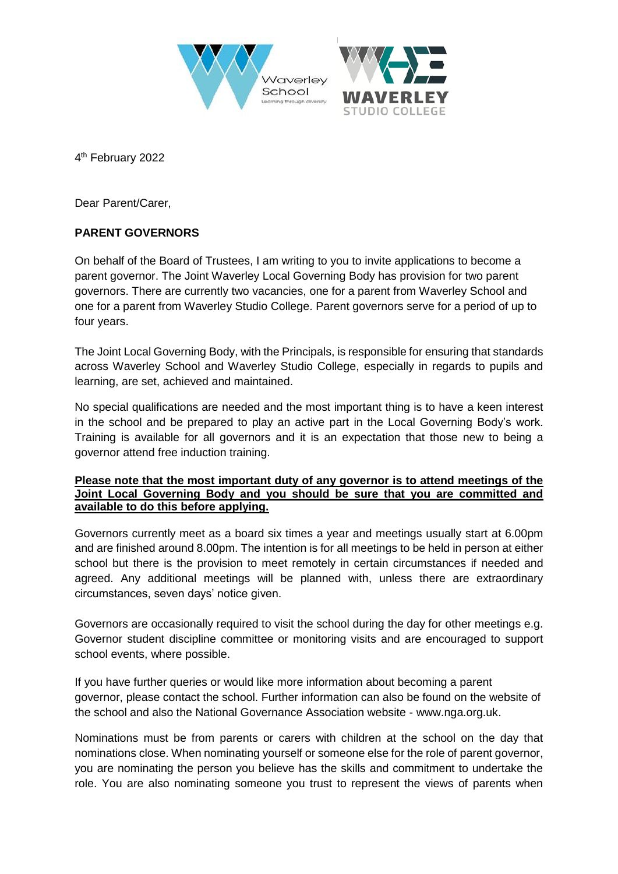



4<sup>th</sup> February 2022

Dear Parent/Carer,

## **PARENT GOVERNORS**

On behalf of the Board of Trustees, I am writing to you to invite applications to become a parent governor. The Joint Waverley Local Governing Body has provision for two parent governors. There are currently two vacancies, one for a parent from Waverley School and one for a parent from Waverley Studio College. Parent governors serve for a period of up to four years.

The Joint Local Governing Body, with the Principals, is responsible for ensuring that standards across Waverley School and Waverley Studio College, especially in regards to pupils and learning, are set, achieved and maintained.

No special qualifications are needed and the most important thing is to have a keen interest in the school and be prepared to play an active part in the Local Governing Body's work. Training is available for all governors and it is an expectation that those new to being a governor attend free induction training.

## **Please note that the most important duty of any governor is to attend meetings of the Joint Local Governing Body and you should be sure that you are committed and available to do this before applying.**

Governors currently meet as a board six times a year and meetings usually start at 6.00pm and are finished around 8.00pm. The intention is for all meetings to be held in person at either school but there is the provision to meet remotely in certain circumstances if needed and agreed. Any additional meetings will be planned with, unless there are extraordinary circumstances, seven days' notice given.

Governors are occasionally required to visit the school during the day for other meetings e.g. Governor student discipline committee or monitoring visits and are encouraged to support school events, where possible.

If you have further queries or would like more information about becoming a parent governor, please contact the school. Further information can also be found on the website of the school and also the National Governance Association website - www.nga.org.uk.

Nominations must be from parents or carers with children at the school on the day that nominations close. When nominating yourself or someone else for the role of parent governor, you are nominating the person you believe has the skills and commitment to undertake the role. You are also nominating someone you trust to represent the views of parents when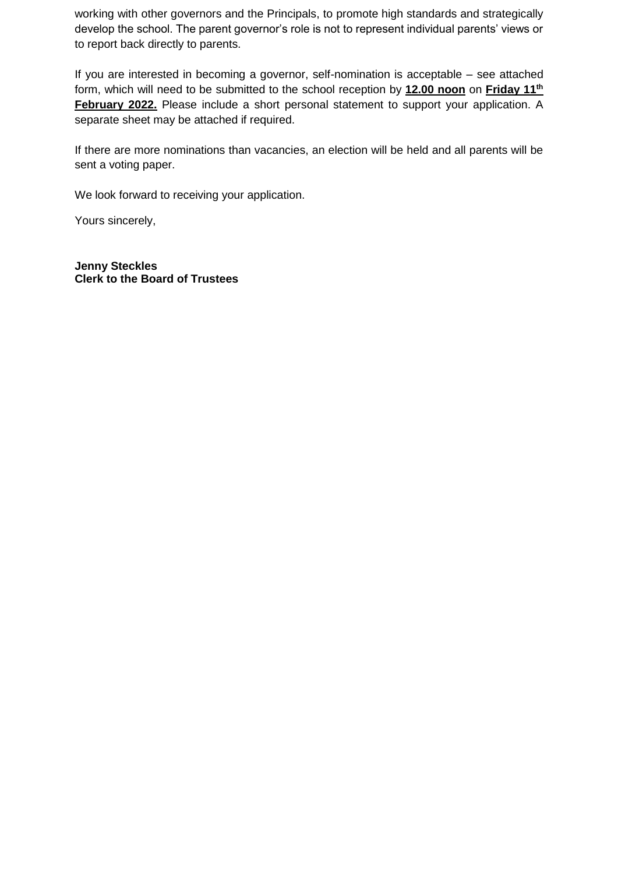working with other governors and the Principals, to promote high standards and strategically develop the school. The parent governor's role is not to represent individual parents' views or to report back directly to parents.

If you are interested in becoming a governor, self-nomination is acceptable – see attached form, which will need to be submitted to the school reception by **12.00 noon** on **Friday 11th February 2022.** Please include a short personal statement to support your application. A separate sheet may be attached if required.

If there are more nominations than vacancies, an election will be held and all parents will be sent a voting paper.

We look forward to receiving your application.

Yours sincerely,

**Jenny Steckles Clerk to the Board of Trustees**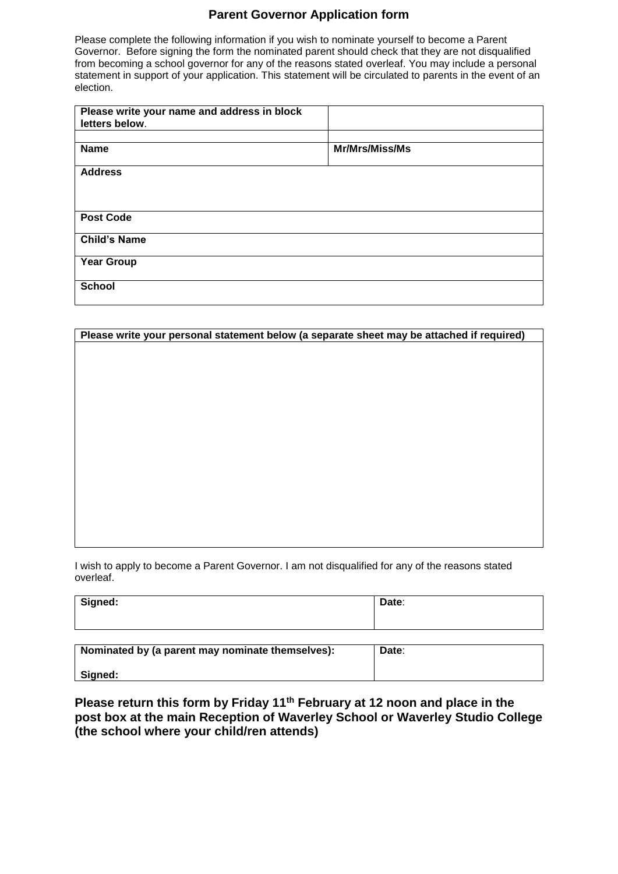## **Parent Governor Application form**

Please complete the following information if you wish to nominate yourself to become a Parent Governor. Before signing the form the nominated parent should check that they are not disqualified from becoming a school governor for any of the reasons stated overleaf. You may include a personal statement in support of your application. This statement will be circulated to parents in the event of an election.

| Please write your name and address in block<br>letters below. |                |
|---------------------------------------------------------------|----------------|
| <b>Name</b>                                                   | Mr/Mrs/Miss/Ms |
| <b>Address</b>                                                |                |
|                                                               |                |
| <b>Post Code</b>                                              |                |
| <b>Child's Name</b>                                           |                |
| <b>Year Group</b>                                             |                |
| <b>School</b>                                                 |                |

| Please write your personal statement below (a separate sheet may be attached if required) |  |  |
|-------------------------------------------------------------------------------------------|--|--|
|                                                                                           |  |  |
|                                                                                           |  |  |
|                                                                                           |  |  |
|                                                                                           |  |  |
|                                                                                           |  |  |
|                                                                                           |  |  |
|                                                                                           |  |  |
|                                                                                           |  |  |
|                                                                                           |  |  |
|                                                                                           |  |  |
|                                                                                           |  |  |
|                                                                                           |  |  |
|                                                                                           |  |  |
|                                                                                           |  |  |
|                                                                                           |  |  |

I wish to apply to become a Parent Governor. I am not disqualified for any of the reasons stated overleaf.

| Signed: | Date: |
|---------|-------|
|         |       |
|         |       |

| Nominated by (a parent may nominate themselves): | Date: |
|--------------------------------------------------|-------|
| Signed:                                          |       |

**Please return this form by Friday 11th February at 12 noon and place in the post box at the main Reception of Waverley School or Waverley Studio College (the school where your child/ren attends)**